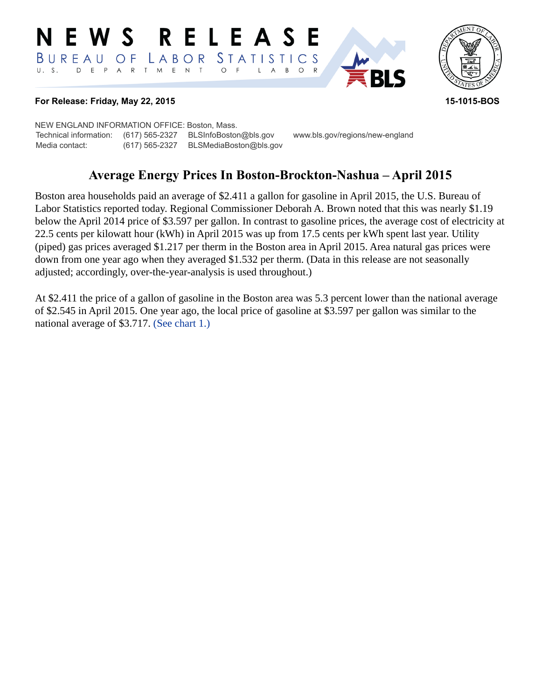#### E W S **RELEASE** *STATISTICS* BUREAU O F LABOR D E P A R T M E N T  $U. S.$  $\bigcirc$  $\overline{F}$  $B$  $\circ$  $\mathsf{R}$  $\mathsf{L}$  $\overline{\mathsf{A}}$



## **For Release: Friday, May 22, 2015 15-1015-BOS**

NEW ENGLAND INFORMATION OFFICE: Boston, Mass. Technical information: (617) 565-2327 BLSInfoBoston@bls.gov www.bls.gov/regions/new-england Media contact: (617) 565-2327 BLSMediaBoston@bls.gov

# **Average Energy Prices In Boston-Brockton-Nashua – April 2015**

Boston area households paid an average of \$2.411 a gallon for gasoline in April 2015, the U.S. Bureau of Labor Statistics reported today. Regional Commissioner Deborah A. Brown noted that this was nearly \$1.19 below the April 2014 price of \$3.597 per gallon. In contrast to gasoline prices, the average cost of electricity at 22.5 cents per kilowatt hour (kWh) in April 2015 was up from 17.5 cents per kWh spent last year. Utility (piped) gas prices averaged \$1.217 per therm in the Boston area in April 2015. Area natural gas prices were down from one year ago when they averaged \$1.532 per therm. (Data in this release are not seasonally adjusted; accordingly, over-the-year-analysis is used throughout.)

At \$2.411 the price of a gallon of gasoline in the Boston area was 5.3 percent lower than the national average of \$2.545 in April 2015. One year ago, the local price of gasoline at \$3.597 per gallon was similar to the national average of \$3.717. [\(See chart 1.\)](#page-1-0)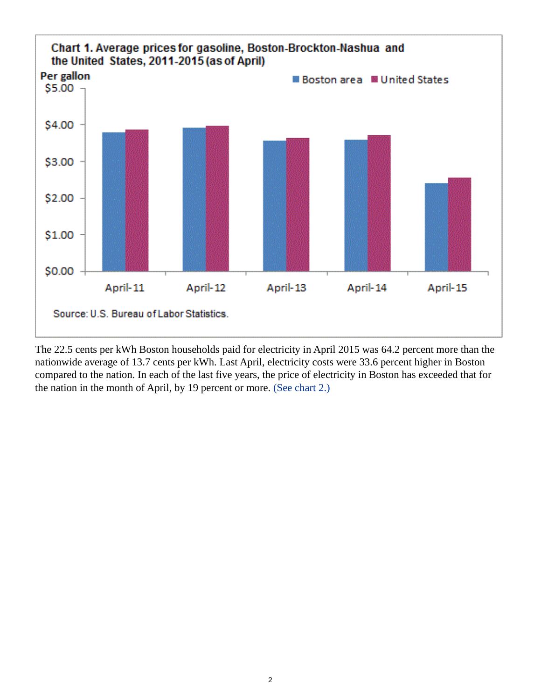<span id="page-1-0"></span>

The 22.5 cents per kWh Boston households paid for electricity in April 2015 was 64.2 percent more than the nationwide average of 13.7 cents per kWh. Last April, electricity costs were 33.6 percent higher in Boston compared to the nation. In each of the last five years, the price of electricity in Boston has exceeded that for the nation in the month of April, by 19 percent or more. [\(See chart 2.\)](#page-2-0)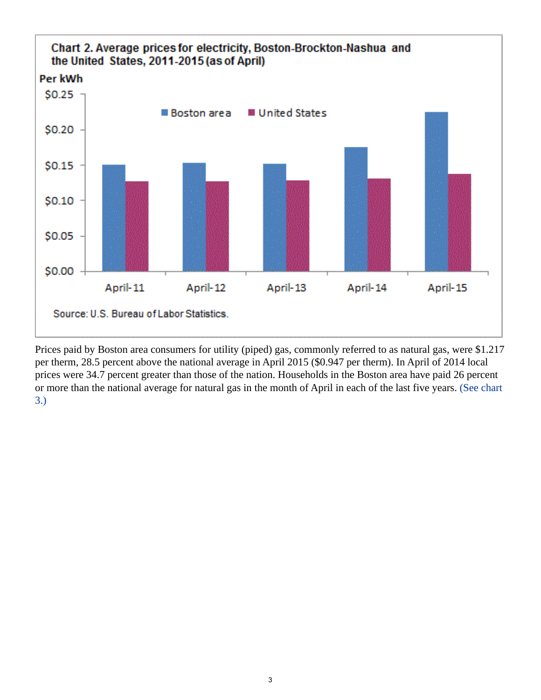<span id="page-2-0"></span>

Prices paid by Boston area consumers for utility (piped) gas, commonly referred to as natural gas, were \$1.217 per therm, 28.5 percent above the national average in April 2015 (\$0.947 per therm). In April of 2014 local prices were 34.7 percent greater than those of the nation. Households in the Boston area have paid 26 percent or more than the national average for natural gas in the month of April in each of the last five years. [\(See chart](#page-3-0)  [3.\)](#page-3-0)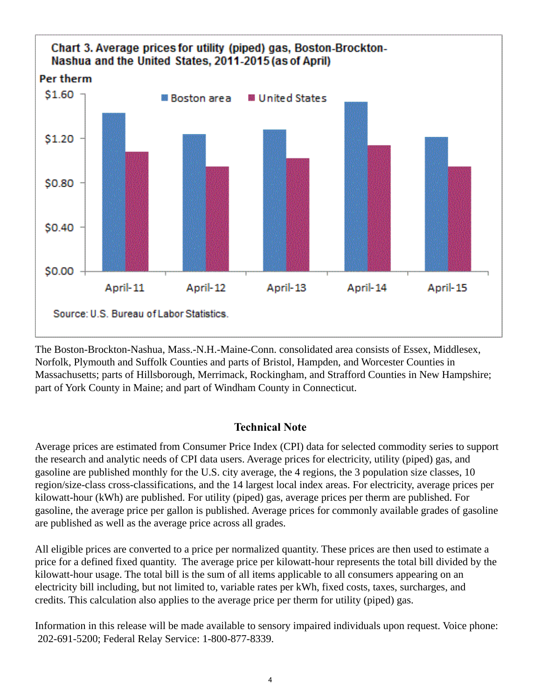<span id="page-3-0"></span>

The Boston-Brockton-Nashua, Mass.-N.H.-Maine-Conn. consolidated area consists of Essex, Middlesex, Norfolk, Plymouth and Suffolk Counties and parts of Bristol, Hampden, and Worcester Counties in Massachusetts; parts of Hillsborough, Merrimack, Rockingham, and Strafford Counties in New Hampshire; part of York County in Maine; and part of Windham County in Connecticut.

## **Technical Note**

Average prices are estimated from Consumer Price Index (CPI) data for selected commodity series to support the research and analytic needs of CPI data users. Average prices for electricity, utility (piped) gas, and gasoline are published monthly for the U.S. city average, the 4 regions, the 3 population size classes, 10 region/size-class cross-classifications, and the 14 largest local index areas. For electricity, average prices per kilowatt-hour (kWh) are published. For utility (piped) gas, average prices per therm are published. For gasoline, the average price per gallon is published. Average prices for commonly available grades of gasoline are published as well as the average price across all grades.

All eligible prices are converted to a price per normalized quantity. These prices are then used to estimate a price for a defined fixed quantity. The average price per kilowatt-hour represents the total bill divided by the kilowatt-hour usage. The total bill is the sum of all items applicable to all consumers appearing on an electricity bill including, but not limited to, variable rates per kWh, fixed costs, taxes, surcharges, and credits. This calculation also applies to the average price per therm for utility (piped) gas.

Information in this release will be made available to sensory impaired individuals upon request. Voice phone: 202-691-5200; Federal Relay Service: 1-800-877-8339.